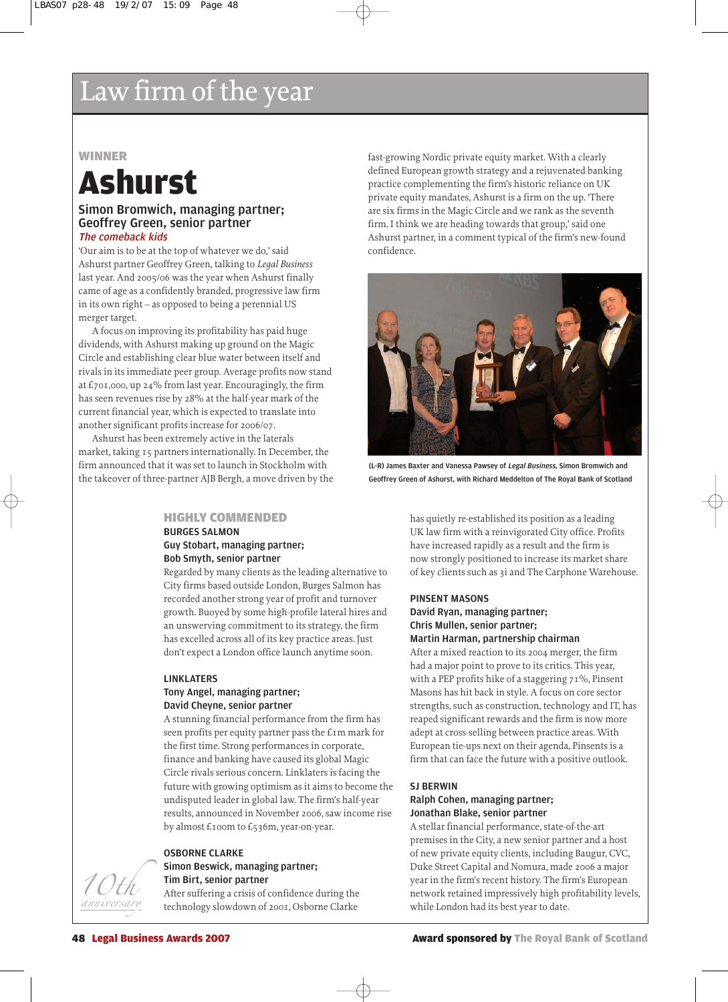# **WINNER**

# Ashurst

# Simon Bromwich, managing partner; Geoffrey Green, senior partner The comeback kids

'Our aim is to be at the top of whatever we do,' said Ashurst partner Geoffrey Green, talking to *Legal Business* last year. And 2005/06 was the year when Ashurst finally came of age as a confidently branded, progressive law firm in its own right – as opposed to being a perennial US merger target.

A focus on improving its profitability has paid huge dividends, with Ashurst making up ground on the Magic Circle and establishing clear blue water between itself and rivals in its immediate peer group. Average profits now stand at £701,000, up 24% from last year. Encouragingly, the firm has seen revenues rise by 28% at the half-year mark of the current financial year, which is expected to translate into another significant profits increase for 2006/07.

Ashurst has been extremely active in the laterals market, taking 15 partners internationally. In December, the firm announced that it was set to launch in Stockholm with the takeover of three-partner AJB Bergh, a move driven by the

# HIGHLY COMMENDED

# BURGES SALMON Guy Stobart, managing partner; Bob Smyth, senior partner

Regarded by many clients as the leading alternative to City firms based outside London, Burges Salmon has recorded another strong year of profit and turnover growth. Buoyed by some high-profile lateral hires and an unswerving commitment to its strategy, the firm has excelled across all of its key practice areas. Just don't expect a London office launch anytime soon.

# LINKLATERS

# Tony Angel, managing partner; David Cheyne, senior partner

A stunning financial performance from the firm has seen profits per equity partner pass the £1m mark for the first time. Strong performances in corporate, finance and banking have caused its global Magic Circle rivals serious concern. Linklaters is facing the future with growing optimism as it aims to become the undisputed leader in global law. The firm's half-year results, announced in November 2006, saw income rise by almost £100m to £536m, year-on-year.

### OSBORNE CLARKE

# Simon Beswick, managing partner;

# Tim Birt, senior partner

After suffering a crisis of confidence during the technology slowdown of 2001, Osborne Clarke

fast-growing Nordic private equity market. With a clearly defined European growth strategy and a rejuvenated banking practice complementing the firm's historic reliance on UK private equity mandates, Ashurst is a firm on the up. 'There are six firms in the Magic Circle and we rank as the seventh firm. I think we are heading towards that group,' said one Ashurst partner, in a comment typical of the firm's new-found confidence.



(L-R) James Baxter and Vanessa Pawsey of Legal Business, Simon Bromwich and Geoffrey Green of Ashurst, with Richard Meddelton of The Royal Bank of Scotland

has quietly re-established its position as a leading UK law firm with a reinvigorated City office. Profits have increased rapidly as a result and the firm is now strongly positioned to increase its market share of key clients such as 3i and The Carphone Warehouse.

## PINSENT MASONS

# David Ryan, managing partner; Chris Mullen, senior partner; Martin Harman, partnership chairman

After a mixed reaction to its 2004 merger, the firm had a major point to prove to its critics. This year, with a PEP profits hike of a staggering 71%, Pinsent Masons has hit back in style. A focus on core sector strengths, such as construction, technology and IT, has reaped significant rewards and the firm is now more adept at cross-selling between practice areas. With European tie-ups next on their agenda, Pinsents is a firm that can face the future with a positive outlook.

### SJ BERWIN

# Ralph Cohen, managing partner; Jonathan Blake, senior partner

A stellar financial performance, state-of-the-art premises in the City, a new senior partner and a host of new private equity clients, including Baugur, CVC, Duke Street Capital and Nomura, made 2006 a major year in the firm's recent history. The firm's European network retained impressively high profitability levels, while London had its best year to date.